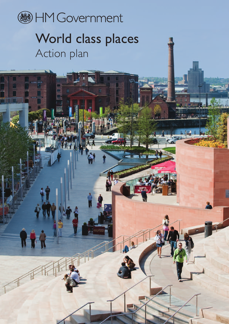

# World class places Action plan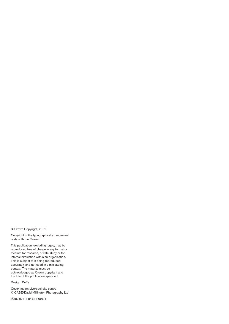© Crown Copyright, 2009

Copyright in the typographical arrangement rests with the Crown.

This publication, excluding logos, may be reproduced free of charge in any format or medium for research, private study or for internal circulation within an organisation. This is subject to it being reproduced accurately and not used in a misleading context. The material must be acknowledged as Crown copyright and the title of the publication specified.

Design: Duffy

Cover image: Liverpool city centre © CABE/David Millington Photography Ltd

ISBN 978-1-84633-026-1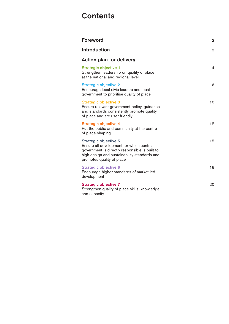## **Contents**

| <b>Foreword</b>                                                                                                                                                                                         | 2  |
|---------------------------------------------------------------------------------------------------------------------------------------------------------------------------------------------------------|----|
| Introduction                                                                                                                                                                                            | 3  |
| <b>Action plan for delivery</b>                                                                                                                                                                         |    |
| <b>Strategic objective 1</b><br>Strengthen leadership on quality of place<br>at the national and regional level                                                                                         | 4  |
| <b>Strategic objective 2</b><br>Encourage local civic leaders and local<br>government to prioritise quality of place                                                                                    | 6  |
| <b>Strategic objective 3</b><br>Ensure relevant government policy, guidance<br>and standards consistently promote quality<br>of place and are user-friendly                                             | 10 |
| <b>Strategic objective 4</b><br>Put the public and community at the centre<br>of place-shaping                                                                                                          | 12 |
| <b>Strategic objective 5</b><br>Ensure all development for which central<br>government is directly responsible is built to<br>high design and sustainability standards and<br>promotes quality of place | 15 |
| <b>Strategic objective 6</b><br>Encourage higher standards of market-led<br>development                                                                                                                 | 18 |
| <b>Strategic objective 7</b><br>Strengthen quality of place skills, knowledge<br>and capacity                                                                                                           | 20 |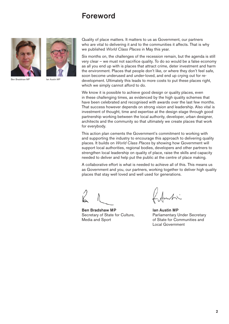## **Foreword**



Ben Bradshaw MP Ian Austin MP



Quality of place matters. It matters to us as Government, our partners who are vital to delivering it and to the communities it affects. That is why we published *World Class Places* in May this year.

Six months on, the challenges of the recession remain, but the agenda is still very clear – we must not sacrifice quality. To do so would be a false economy as all you end up with is places that attract crime, deter investment and harm the environment. Places that people don't like, or where they don't feel safe, soon become underused and under-loved, and end up crying out for redevelopment. Ultimately this leads to more costs to put these places right, which we simply cannot afford to do.

We know it is possible to achieve good design or quality places, even in these challenging times, as evidenced by the high quality schemes that have been celebrated and recognised with awards over the last few months. That success however depends on strong vision and leadership. Also vital is investment of thought, time and expertise at the design stage through good partnership working between the local authority, developer, urban designer, architects and the community so that ultimately we create places that work for everybody.

This action plan cements the Government's commitment to working with and supporting the industry to encourage this approach to delivering quality places. It builds on *World Class Places* by showing how Government will support local authorities, regional bodies, developers and other partners to strengthen local leadership on quality of place, raise the skills and capacity needed to deliver and help put the public at the centre of place making.

A collaborative effort is what is needed to achieve all of this. This means us as Government and you, our partners, working together to deliver high quality places that stay well loved and well used for generations.

**Ben Bradshaw MP Ian Austin MP** Media and Sport **of State for Communities and** 

Secretary of State for Culture, Parliamentary Under Secretary Local Government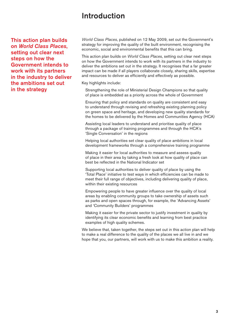## **Introduction**

**This action plan builds on** *World Class Places***, setting out clear next steps on how the Government intends to work with its partners in the industry to deliver the ambitions set out in the strategy**

*World Class Places*, published on 12 May 2009, set out the Government's strategy for improving the quality of the built environment, recognising the economic, social and environmental benefits that this can bring.

This action plan builds on *World Class Places*, setting out clear next steps on how the Government intends to work with its partners in the industry to deliver the ambitions set out in the strategy. It recognises that a far greater impact can be made if all players collaborate closely, sharing skills, expertise and resources to deliver as efficiently and effectively as possible.

Key highlights include:

Strengthening the role of Ministerial Design Champions so that quality of place is embedded as a priority across the whole of Government

Ensuring that policy and standards on quality are consistent and easy to understand through revising and refreshing existing planning policy on green space and heritage, and developing new quality standards for the homes to be delivered by the Homes and Communities Agency (HCA)

Assisting local leaders to understand and prioritise quality of place through a package of training programmes and through the HCA's 'Single Conversation' in the regions

Helping local authorities set clear quality of place ambitions in local development frameworks through a comprehensive training programme

Making it easier for local authorities to measure and assess quality of place in their area by taking a fresh look at how quality of place can best be reflected in the National Indicator set

Supporting local authorities to deliver quality of place by using the 'Total Place' initiative to test ways in which efficiencies can be made to meet their full range of objectives, including delivering quality of place, within their existing resources

Empowering people to have greater influence over the quality of local areas by enabling community groups to take ownership of assets such as parks and open spaces through, for example, the 'Advancing Assets' and 'Community Builders' programmes

Making it easier for the private sector to justify investment in quality by identifying its clear economic benefits and learning from best practice examples of high quality schemes.

We believe that, taken together, the steps set out in this action plan will help to make a real difference to the quality of the places we all live in and we hope that you, our partners, will work with us to make this ambition a reality.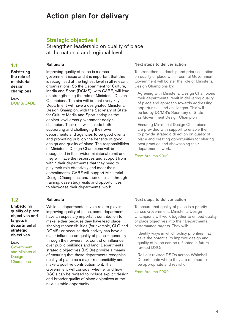## **Action plan for delivery**

## **Strategic objective 1**

Improving quality of place is a cross-

Strengthen leadership on quality of place at the national and regional level

#### **1.1**

#### **Rationale**

**Bolstering the role of ministerial design champions**

Lead DCMS/CABE

## **1.2**

**Embedding quality of place objectives and targets in departmental strategic objectives**

Lead Government and Ministerial **Design Champions** 

#### government issue and it is important that this is recognised at the highest level in all relevant organisations. So the Department for Culture, Media and Sport (DCMS), with CABE, will lead on strengthening the role of Ministerial Design Champions. The aim will be that every key Department will have a designated Ministerial Design Champion, with the Secretary of State for Culture Media and Sport acting as the cabinet-level cross-government design champion. Their role will include both supporting and challenging their own departments and agencies to be good clients and promoting publicly the benefits of good design and quality of place. The responsibilities of Ministerial Design Champions will be recognised in their wider ministerial remit and they will have the resources and support from within their departments that they need to play their role effectively and meet their commitments. CABE will support Ministerial Design Champions, and their officials, through training, case study visits and opportunities to showcase their departments' work.

#### **Rationale**

While all departments have a role to play in improving quality of place, some departments have an especially important contribution to make, either because they have lead placeshaping responsibilities (for example, CLG and DCMS) or because their activity can have a major influence on quality of place – generally through their ownership, control or influence over public buildings and land. Departmental strategic objectives (DSOs) provide a means of ensuring that these departments recognise quality of place as a major responsibility and make a positive contribution to it. The Government will consider whether and how DSOs can be revised to include explicit design and broader quality of place objectives at the next suitable opportunity.

#### **Next steps to deliver action**

To strengthen leadership and prioritise action on quality of place within central Government, Government will bolster the role of Ministerial Design Champions by:

Agreeing with Ministerial Design Champions their departmental remit in delivering quality of place and approach towards addressing opportunities and challenges. This will be led by DCMS's Secretary of State as Government Design Champion

Ensuring Ministerial Design Champions are provided with support to enable them to provide strategic direction on quality of place and creating opportunities for sharing best practice and showcasing their departments' work.

#### From Autumn 2009

#### **Next steps to deliver action**

To ensure that quality of place is a priority across Government, Ministerial Design Champions will work together to embed quality of place objectives into their Departmental performance targets. They will:

Identify ways in which policy priorities that have the potential to improve design and quality of place can be reflected in future revised DSOs

Roll out revised DSOs across Whitehall Departments where they are deemed to be appropriate and realistic.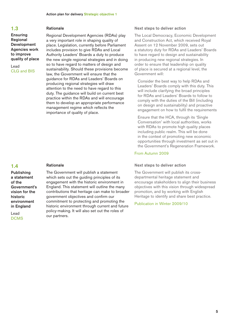#### **Ensuring Regional Development Agencies work to improve quality of place**

Lead CLG and BIS

#### **Rationale**

Regional Development Agencies (RDAs) play a very important role in shaping quality of place. Legislation, currently before Parliament includes provision to give RDAs and Local Authority Leaders' Boards a duty to produce the new single regional strategies and in doing so to have regard to matters of design and sustainability. Should these provisions become law, the Government will ensure that the guidance for RDAs and Leaders' Boards on producing regional strategies will draw attention to the need to have regard to this duty. The guidance will build on current best practice within the RDAs and will encourage them to develop an appropriate performance management regime which reflects the importance of quality of place.

## **1.4**

**Publishing a statement of the Government's vision for the historic environment in England**

Lead DCMS

#### **Rationale**

The Government will publish a statement which sets out the guiding principles of its engagement with the historic environment in England. This statement will outline the many contributions that heritage can make to broader government objectives and confirm our commitment to protecting and promoting the historic environment through current and future policymaking. It will also set out the roles of our partners.

#### **Next steps to deliver action**

The Local Democracy, Economic Development and Construction Act, which received Royal Assent on 12 November 2009, sets out a statutory duty for RDAs and Leaders' Boards to have regard to design and sustainability in producing new regional strategies. In order to ensure that leadership on quality of place is secured at a regional level, the Government will:

Consider the best way to help RDAs and Leaders' Boards comply with this duty. This will include clarifying the broad principles for RDAs and Leaders' Boards to follow to comply with the duties of the Bill (including on design and sustainability) and proactive engagement on how to fulfil the requirements

Ensure that the HCA, through its 'Single Conversation' with local authorities, works with RDAs to promote high quality places including public realm. This will be done in the context of promoting new economic opportunities through investment as set out in the Government's Regeneration Framework.

#### From Autumn 2009

#### **Next steps to deliver action**

The Government will publish its crossdepartmental heritage statement and encourage stakeholders to align their business objectives with this vision through widespread promotion, and by working with English Heritage to identify and share best practice.

#### Publication in Winter 2009/10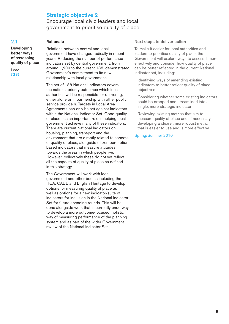## **Strategic objective 2**

Encourage local civic leaders and local government to prioritise quality of place

#### **2.1**

Lead CLG

**Developing better ways of assessing quality of place**

#### **Rationale**

Relations between central and local government have changed radically in recent years. Reducing the number of performance indicators set by central government, from around 1,200 to the current 188, demonstrated Government's commitment to its new relationship with local government.

The set of 188 National Indicators covers the national priority outcomes which local authorities will be responsible for delivering, either alone or in partnership with other public service providers. Targets in Local Area Agreements can only be set against indicators within the National Indicator Set. Good quality of place has an important role in helping local government achieve many of these indicators. There are current National Indicators on housing, planning, transport and the environment that are directly related to aspects of quality of place, alongside citizen perception based indicators that measure attitudes towards the areas in which people live. However, collectively these do not yet reflect all the aspects of quality of place as defined in this strategy.

The Government will work with local government and other bodies including the HCA, CABE and English Heritage to develop options for measuring quality of place as well as options for a new indicator/suite of indicators for inclusion in the National Indicator Set for future spending rounds. This will be done alongside work that is currently underway to develop a more outcome-focused, holistic way of measuring performance of the planning system and as part of the wider Government review of the National Indicator Set.

#### **Next steps to deliver action**

To make it easier for local authorities and leaders to prioritise quality of place, the Government will explore ways to assess it more effectively and consider how quality of place can be better reflected in the current National Indicator set, including:

Identifying ways of amending existing indicators to better reflect quality of place objectives

Considering whether some existing indicators could be dropped and streamlined into a single, more strategic indicator

Reviewing existing metrics that aim to measure quality of place and, if necessary, developing a clearer, more robust metric that is easier to use and is more effective.

Spring/Summer 2010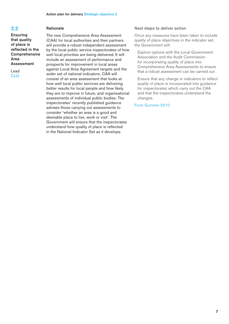**Ensuring that quality of place is reflected in the Comprehensive Area Assessment**

Lead CLG

#### **Rationale**

The new Comprehensive Area Assessment (CAA) for local authorities and their partners will provide a robust independent assessment by the local public service inspectorates of how well local priorities are being delivered. It will include an assessment of performance and prospects for improvement in local areas against Local Area Agreement targets and the wider set of national indicators. CAA will consist of an area assessment that looks at how well local public services are delivering better results for local people and how likely they are to improve in future, and organisational assessments of individual public bodies. The inspectorates' recently published guidance advises those carrying out assessments to consider 'whether an area is a good and desirable place to live, work or visit'. The Government will ensure that the inspectorates understand how quality of place is reflected in the National Indicator Set as it develops.

#### **Next steps to deliver action**

Once any measures have been taken to include quality of place objectives in the indicator set, the Government will:

Explore options with the Local Government Association and the Audit Commission for incorporating quality of place into Comprehensive Area Assessments to ensure that a robust assessment can be carried out

Ensure that any change in indicators to reflect quality of place is incorporated into guidance for inspectorates which carry out the CAA and that the inspectorates understand the changes.

#### From Summer 2010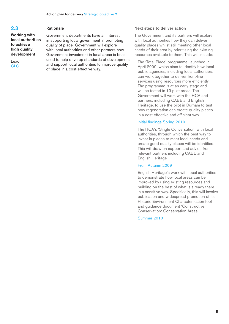#### **Working with local authorities to achieve high quality development**

Lead CLG

#### **Rationale**

Government departments have an interest in supporting local government in promoting quality of place. Government will explore with local authorities and other partners how Government investment in local areas is best used to help drive up standards of development and support local authorities to improve quality of place in a cost-effective way.

#### **Next steps to deliver action**

The Government and its partners will explore with local authorities how they can deliver quality places whilst still meeting other local needs of their area by prioritising the existing resources available to them. This will include:

The 'Total Place' programme, launched in April 2009, which aims to identify how local public agencies, including local authorities, can work together to deliver front-line services using resources more efficiently. The programme is at an early stage and will be tested in 13 pilot areas. The Government will work with the HCA and partners, including CABE and English Heritage, to use the pilot in Durham to test how regeneration can create quality places in a cost-effective and efficient way

#### Initial findings Spring 2010

The HCA's 'Single Conversation' with local authorities, through which the best way to invest in places to meet local needs and create good quality places will be identified. This will draw on support and advice from relevant partners including CABE and English Heritage

#### From Autumn 2009

English Heritage's work with local authorities to demonstrate how local areas can be improved by using existing resources and building on the best of what is already there in a sensitive way. Specifically, this will involve publication and widespread promotion of its Historic Environment Characterisation tool and guidance document 'Constructive Conservation: Conservation Areas'.

Summer 2010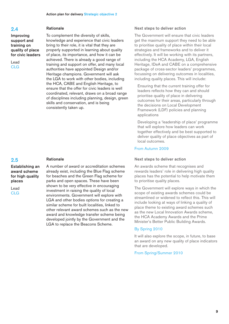#### **Improving support and training on quality of place for civic leaders**

Lead CLG

#### **Rationale**

To complement the diversity of skills, knowledge and experience that civic leaders bring to their role, it is vital that they are properly supported in learning about quality of place, its importance, and how it can be achieved. There is already a good range of training and support on offer, and many local authorities have appointed Design and/or Heritage champions. Government will ask the LGA to work with other bodies, including the HCA, CABE and English Heritage, to ensure that the offer for civic leaders is well coordinated, relevant, draws on a broad range of disciplines including planning, design, green skills and conservation, and is being consistently taken up.

#### **2.5**

**Establishing an award scheme for high quality places**

Lead CLG

#### **Rationale**

A number of award or accreditation schemes already exist, including the Blue Flag scheme for beaches and the Green Flag scheme for parks and open spaces. These have been shown to be very effective in encouraging investment in raising the quality of local environments. Government will explore with LGA and other bodies options for creating a similar scheme for built localities, linked to other relevant award schemes such as the new award and knowledge transfer scheme being developed jointly by the Government and the LGA to replace the Beacons Scheme.

#### **Next steps to deliver action**

The Government will ensure that civic leaders get the maximum support they need to be able to prioritise quality of place within their local strategies and frameworks and to deliver it effectively. It will be working with its partners, including the HCA Academy, LGA, English Heritage, IDeA and CABE on a comprehensive package of cross-sector leaders' programmes, focussing on delivering outcomes in localities, including quality places. This will include:

Ensuring that the current training offer for leaders reflects how they can and should prioritise quality of place in delivering outcomes for their areas, particularly through the decisions on Local Development Framework (LDF) policies and planning applications

Developing a 'leadership of place' programme that will explore how leaders can work together effectively and be best supported to deliver quality of place objectives as part of local outcomes.

#### From Autumn 2009

#### **Next steps to deliver action**

An awards scheme that recognises and rewards leaders' role in delivering high quality places has the potential to help motivate them to prioritise quality places.

The Government will explore ways in which the scope of existing awards schemes could be streamlined or widened to reflect this. This will include looking at ways of linking a quality of place theme to existing award schemes such as the new Local Innovation Awards scheme, the HCA Academy Awards and the Prime Minister's Better Public Building Awards.

#### By Spring 2010

It will also explore the scope, in future, to base an award on any new quality of place indicators that are developed.

#### From Spring/Summer 2010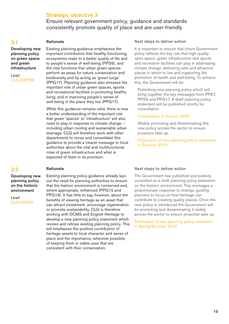## **Strategic objective 3**

Ensure relevant government policy, guidance and standards consistently promote quality of place and are user-friendly

#### **3.1**

#### **Rationale**

**Developing new planning policy on green space and green infrastructure**

Lead CLG/DEFRA

Existing planning guidance emphasises the important contribution that healthy functioning ecosystems make to a better quality of life and to people's sense of well-being (PPS9), and the vital functions that urban green spaces perform as areas for nature conservation and biodiversity and by acting as 'green lungs' (PPG17). Planning guidance also stresses the important role of urban green spaces, sports and recreational facilities in promoting healthy living, and in improving people's sense of well-being in the place they live (PPG17).

While this quidance remains valid, there is now a better understanding of the important role that green 'spaces' or 'infrastructure' will also need to play in response to climate change – including urban cooling and sustainable urban drainage. CLG will therefore work with other departments to revise and consolidate this guidance to provide a clearer message to local authorities about the vital and multifunctional roles of green infrastructure and what is expected of them in its provision.

#### **3.2**

## **Rationale**

**Developing new planning policy on the historic environment**

Lead CLG/DCMS Existing planning policy guidance already lays out the need for planning authorities to ensure that the historic environment is conserved and, where appropriate, enhanced (PPG15 and PPG16). It has little to say, however, about the benefits of viewing heritage as an asset that can attract investment, encourage regeneration or promote sustainability. CLG is therefore working with DCMS and English Heritage to develop a new planning policy statement which revises and refines existing planning policy. This will emphasise the positive contribution of heritage assets to local character and sense of place and the importance, wherever possible, of keeping them in viable uses that are consistent with their conservation.

#### **Next steps to deliver action**

It is important to ensure that future Government policy reflects the key role that high quality open space, green infrastructure and sports and recreation facilities can play in addressing climate change, delivering safe and attractive places in which to live and supporting the promotion of health and well-being. To achieve this, the Government will be:

Publishing new planning policy which will bring together the key messages from PPS7, PPS9 and PPG17. A draft planning policy statement will be published shortly for consultation

#### Consultation in Autumn 2009

Widely promoting and disseminating this new policy across the sector to ensure proactive take up.

Publication of new planning policy statement in Summer 2010

#### **Next steps to deliver action**

The Government has published and publicly consulted on a draft planning policy statement on the historic environment. This envisages a proportionate response to change, guiding planners to focus on how heritage can contribute to creating quality places. Once the new policy is introduced the Government will be promoting and disseminating it widely across the sector to ensure proactive take up.

Publication of new planning policy statement in Spring/Summer 2010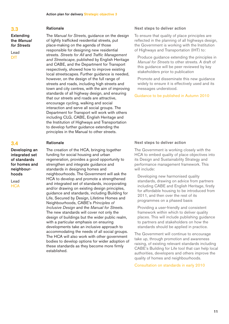#### **Extending the** *Manual for Streets*

Lead DfT

## **3.4**

**Developing an integrated set of standards for homes and neighbourhoods**

Lead **HCA** 

#### **Rationale**

The *Manual for Streets*, guidance on the design of lightly trafficked residential streets, put place-making on the agenda of those responsible for designing new residential streets. *Streets for All* and *Traffic Management and Streetscape*, published by English Heritage and CABE, and the Department for Transport respectively, showed how to improve existing local streetscapes. Further guidance is needed, however, on the design of the full range of streets and roads, including high streets and town and city centres, with the aim of improving standards of all highway design, and ensuring that our streets and roads are attractive, encourage cycling, walking and social interaction and serve all social groups. The Department for Transport will work with others including CLG, CABE, English Heritage and the Institution of Highways and Transportation to develop further guidance extending the principles in the Manual to other streets.

#### **Rationale**

The creation of the HCA, bringing together funding for social housing and urban regeneration, provides a good opportunity to strengthen and integrate guidance and standards in designing homes and neighbourhoods. The Government will ask the HCA to develop and promote a strengthened and integrated set of standards, incorporating and/or drawing on existing design principles, guidance and standards, including Building for Life, Secured by Design, Lifetime Homes and Neighbourhoods, CABE's *Principles of Inclusive Design* and the *Manual for Streets*. The new standards will cover not only the design of buildings but the wider public realm, with a particular emphasis on ensuring developments take an inclusive approach to accommodating the needs of all social groups. The HCA will also work with other government bodies to develop options for wider adoption of these standards as they become more firmly established.

#### **Next steps to deliver action**

To ensure that quality of place principles are reflected in the planning of all highways design, the Government is working with the Institution of Highways and Transportation (IHT) to:

Produce guidance extending the principles in *Manual for Streets* to other streets. A draft of this guidance will be peer reviewed by key stakeholders prior to publication

Promote and disseminate this new guidance widely to ensure it is effectively used and its messages understood.

Guidance to be published in Autumn 2010

#### **Next steps to deliver action**

The Government is working closely with the HCA to embed quality of place objectives into its Design and Sustainability Strategy and performance management framework. This will include:

Developing new harmonised quality standards, drawing on advice from partners including CABE and English Heritage, firstly for affordable housing to be introduced from 2011, and then over the rest of its programmes on a phased basis

Providing a user-friendly and consistent framework within which to deliver quality places. This will include publishing guidance to partners and stakeholders on how the standards should be applied in practice.

The Government will continue to encourage take up, through promotion and awareness raising, of existing relevant standards including CABE's Building for Life tool that can help local authorities, developers and others improve the quality of homes and neighbourhoods.

Consultation on standards in early 2010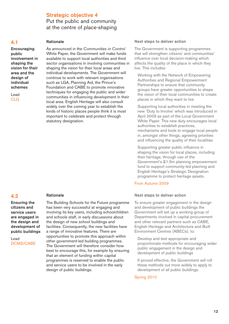## **Strategic objective 4** Put the public and community at the centre of place-shaping

#### **4.1**

**Encouraging public involvement in shaping the vision for their area and the design of individual schemes**

Lead CLG

#### **Rationale**

As announced in the *Communities in Control* White Paper, the Government will make funds available to support local authorities and third sector organisations in involving communities in shaping the vision for their local areas and individual developments. The Government will continue to work with relevant organisations such as LGA, Planning Aid, the Prince's Foundation and CABE to promote innovative techniques for engaging the public and wider communities in influencing development in their local area. English Heritage will also consult widely over the coming year to establish the kinds of historic places people think it is most important to celebrate and protect through statutory designation.

## **4.2**

**Ensuring the citizens and service users are engaged in the design and development of public buildings**

Lead DCMS/CABE

#### **Rationale**

The Building Schools for the Future programme has been very successful at engaging and involving its key users, including schoolchildren and schools staff, in early discussions about the design of new school buildings and facilities. Consequently, the new facilities have a range of innovative features. There are opportunities to promote this approach within other government-led building programmes. The Government will therefore consider how best to encourage this, for example by ensuring that an element of funding within capital programmes is reserved to enable the public and service users to be involved in the early design of public buildings.

#### **Next steps to deliver action**

The Government is supporting programmes that will strengthen citizens' and communities' influence over local decision-making which affects the quality of the place in which they live. This includes:

Working with the Network of Empowering Authorities and Regional Empowerment Partnerships to ensure that community groups have greater opportunities to shape the vision of their local communities to create places in which they want to live

Supporting local authorities in meeting the new 'Duty to Involve' which was introduced in April 2009 as part of the Local Government White Paper. This new duty encourages local authorities to establish practices, mechanisms and tools to engage local people in, amongst other things, agreeing priorities and influencing the quality of their localities

Supporting greater public influence in shaping the vision for local places, including their heritage, through use of the Government's £1.5m planning empowerment fund to support community-led planning and English Heritage's Strategic Designation programme to protect heritage assets.

#### From Autumn 2009

#### **Next steps to deliver action**

To ensure greater engagement in the design and development of public buildings the Government will set up a working group of Departments involved in capital procurement and other relevant partners such as CABE, English Heritage and Architecture and Built Environment Centres (ABECs), to:

Develop and test appropriate and proportionate methods for encouraging wider public engagement in the design and development of public buildings

If proved effective, the Government will roll these methods out more widely to apply to development of all public buildings.

#### Spring 2010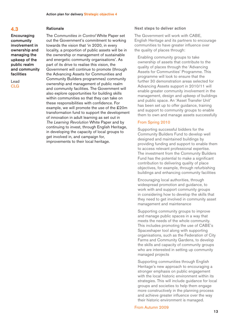**Encouraging community involvement in ownership and managing the upkeep of the public realm and community facilities**

Lead CLG

#### **Rationale**

The *Communities in Control* White Paper set out the Government's commitment to working towards the vision that 'in 2020, in every locality, a proportion of public assets will be in the ownership or management of sustainable and energetic community organisations'. As part of its drive to realise this vision, the Government will continue to promote (through the Advancing Assets for Communities and Community Builders programmes) community ownership and management of public realm and community facilities. The Government will also explore opportunities for building skills within communities so that they can take on these responsibilities with confidence. For example, we will promote the use of the £20m transformation fund to support the development of innovation in adult learning as set out in *The Learning Revolution* White Paper and by continuing to invest, through English Heritage, in developing the capacity of local groups to get involved in, and campaign for, improvements to their local heritage.

#### **Next steps to deliver action**

The Government will work with CABE, English Heritage and its partners to encourage communities to have greater influence over the quality of places through:

Enabling community groups to take ownership of assets that contribute to the quality of places through the 'Advancing Assets for Communities' Programme. This programme will look to ensure that the further 30 demonstration areas selected for Advancing Assets support in 2010/11 will enable greater community involvement in the management, design and upkeep of buildings and public space. An 'Asset Transfer Unit' has been set up to offer guidance, training and support to community groups to enable them to own and manage assets successfully

#### From Spring 2010

Supporting successful bidders for the Community Builders Fund to develop well designed and maintained buildings by providing funding and support to enable them to access relevant professional expertise. The investment from the Community Builders Fund has the potential to make a significant contribution to delivering quality of place objectives, for example, through refurbishing buildings and enhancing community facilities

Encouraging local authorities, through widespread promotion and guidance, to work with and support community groups in considering how to develop the skills that they need to get involved in community asset management and maintenance

Supporting community groups to improve and manage public spaces in a way that meets the needs of the whole community. This includes promoting the use of CABE's Spaceshaper tool along with supporting organisations, such as the Federation of City Farms and Community Gardens, to develop the skills and capacity of community groups who are interested in setting up community managed projects

Supporting communities through English Heritage's new approach to encouraging a stronger emphasis on public engagement with the local historic environment within its strategies. This will include guidance for local groups and societies to help them engage more constructively in the planning process and achieve greater influence over the way their historic environment is managed.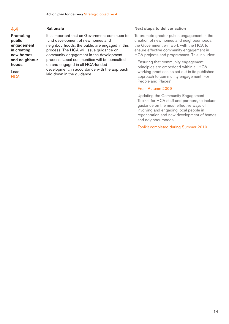**Promoting public engagement in creating new homes and neighbourhoods**

Lead **HCA** 

#### **Rationale**

It is important that as Government continues to fund development of new homes and neighbourhoods, the public are engaged in this process. The HCA will issue guidance on community engagement in the development process. Local communities will be consulted on and engaged in all HCA-funded development, in accordance with the approach laid down in the guidance.

#### **Next steps to deliver action**

To promote greater public engagement in the creation of new homes and neighbourhoods, the Government will work with the HCA to ensure effective community engagement in HCA projects and programmes. This includes:

Ensuring that community engagement principles are embedded within all HCA working practices as set out in its published approach to community engagement 'For People and Places'

#### From Autumn 2009

Updating the Community Engagement Toolkit, for HCA staff and partners, to include guidance on the most effective ways of involving and engaging local people in regeneration and new development of homes and neighbourhoods.

Toolkit completed during Summer 2010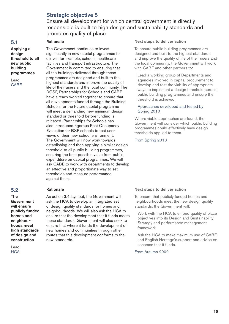## **Strategic objective 5**

The Government continues to invest

**Rationale**

## Ensure all development for which central government is directly responsible is built to high design and sustainability standards and promotes quality of place

#### **5.1**

**Applying a design threshold to all new public building programmes**

Lead CABE

significantly in new capital programmes to deliver, for example, schools, healthcare facilities and transport infrastructure. The Government is committed to ensuring that all the buildings delivered through these programmes are designed and built to the highest standards and improve the quality of life of their users and the local community. The DCSF, Partnerships for Schools and CABE have already worked together to ensure that all developments funded through the Building Schools for the Future capital programme will meet a demanding new minimum design standard or threshold before funding is released. Partnerships for Schools has also introduced rigorous Post Occupancy Evaluation for BSF schools to test user views of their new school environment. The Government will now work towards establishing and then applying a similar design threshold to all public building programmes, securing the best possible value from public expenditure on capital programmes. We will ask CABE to work with departments to develop an effective and proportionate way to set thresholds and measure performance against them.

#### **5.2 Rationale**

**construction** new standards.

Lead **HCA** 

**The** As action 3.4 lays out, the Government will **Government** ask the HCA to develop an integrated set **will ensure** of design quality standards for homes and **publicly funded** neighbourhoods. We will also ask the HCA to **homes** and **ensure** that the development that it funds meets **neighbour-** these standards. Government will also seek to **hoods meet** ensure that where it funds the development of **high standards** new homes and communities through other **of design and** routes that this development conforms to the

#### **Next steps to deliver action**

To ensure public building programmes are designed and built to the highest standards and improve the quality of life of their users and the local community, the Government will work with CABE and other partners to:

Lead a working group of Departments and agencies involved in capital procurement to develop and test the viability of appropriate ways to implement a design threshold across public building programmes and ensure the threshold is achieved.

#### Approaches developed and tested by Spring 2010

Where viable approaches are found, the Government will consider which public building programmes could effectively have design thresholds applied to them.

From Spring 2010

#### **Next steps to deliver action**

To ensure that publicly funded homes and neighbourhoods meet the new design quality standards, the Government will:

Work with the HCA to embed quality of place objectives into its Design and Sustainability Strategy and performance management framework

Ask the HCA to make maximum use of CABE and English Heritage's support and advice on schemes that it funds.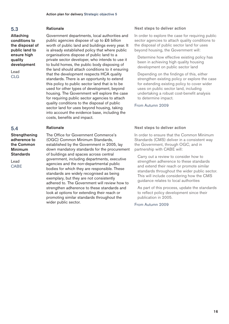**Attaching conditions to the disposal of public land to ensure high quality development**

Lead CLG

#### **5.4**

**Strengthening adherence to the Common Minimum Standards**

Lead CABE

#### **Rationale**

Government departments, local authorities and public agencies dispose of up to £6 billion worth of public land and buildings every year. It is already established policy that where public organisations dispose of public land to a private sector developer, who intends to use it to build homes, the public body disposing of the land should attach conditions to it ensuring that the development respects HCA quality standards. There is an opportunity to extend this policy to public sector land that is to be used for other types of development, beyond housing. The Government will explore the case for requiring public sector agencies to attach quality conditions to the disposal of public sector land for uses beyond housing, taking into account the evidence base, including the costs, benefits and impact.

#### **Rationale**

The Office for Government Commerce's (OGC) Common Minimum Standards, established by the Government in 2005, lay down mandatory standards for the procurement of buildings and spaces across central government, including departments, executive agencies and the non-departmental public bodies for which they are responsible. These standards are widely recognised as being exemplary, but they are not consistently adhered to. The Government will review how to strengthen adherence to these standards and look at options for extending their reach or promoting similar standards throughout the wider public sector.

#### **Next steps to deliver action**

In order to explore the case for requiring public sector agencies to attach quality conditions to the disposal of public sector land for uses beyond housing, the Government will:

Determine how effective existing policy has been in achieving high quality housing development on public sector land

Depending on the findings of this, either strengthen existing policy or explore the case for extending existing policy to cover wider uses on public sector land, including undertaking a robust cost-benefit analysis to determine impact.

#### From Autumn 2009

#### **Next steps to deliver action**

In order to ensure that the Common Minimum Standards (CMS) deliver in a consistent way the Government, through OGC, and in partnership with CABE will:

Carry out a review to consider how to strengthen adherence to these standards and extend their reach or promote similar standards throughout the wider public sector. This will include considering how the CMS guidance relates to local authorities

As part of this process, update the standards to reflect policy development since their publication in 2005.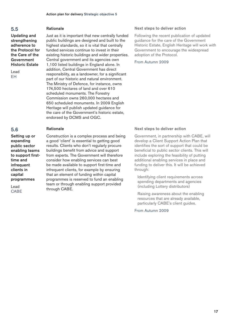**Updating and strengthening adherence to the Protocol for the Care of the Government Historic Estate**

Lead EH

## **5.6**

**Setting up or expanding public sector enabling teams to support firsttime and infrequent clients in capital programmes**

Lead CABE

#### **Rationale**

Just as it is important that new centrally funded public buildings are designed and built to the highest standards, so it is vital that centrally funded services continue to invest in their existing historic buildings and wider properties. Central government and its agencies own 1,100 listed buildings in England alone. In addition, Central Government has direct responsibility, as a landowner, for a significant part of our historic and natural environment. The Ministry of Defence, for instance, owns 174,500 hectares of land and over 610 scheduled monuments. The Forestry Commission owns 260,000 hectares and 650 scheduled monuments. In 2009 English Heritage will publish updated guidance for the care of the Government's historic estate, endorsed by DCMS and OGC.

#### **Rationale**

Construction is a complex process and being a good 'client' is essential to getting good results. Clients who don't regularly procure buildings benefit from advice and support from experts. The Government will therefore consider how enabling services can best be made available to support first-time and infrequent clients, for example by ensuring that an element of funding within capital programmes is reserved to fund an enabling team or through enabling support provided through CABE.

#### **Next steps to deliver action**

Following the recent publication of updated guidance for the care of the Government Historic Estate, English Heritage will work with Government to encourage the widespread adoption of the Protocol.

#### From Autumn 2009

#### **Next steps to deliver action**

Government, in partnership with CABE, will develop a Client Support Action Plan that identifies the sort of support that could be beneficial to public sector clients. This will include exploring the feasibility of putting additional enabling services in place and funding to deliver this. It will be achieved through:

Identifying client requirements across spending departments and agencies (including Lottery distributors)

Raising awareness about the enabling resources that are already available, particularly CABE's client guides.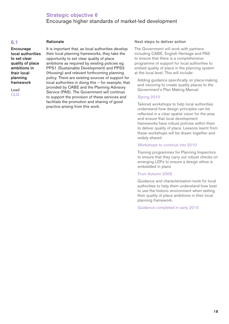## **Strategic objective 6** Encourage higher standards of market-led development

#### **6.1**

#### **Rationale**

**Encourage local authorities to set clear quality of place ambitions in their local planning framework**

Lead CLG

It is important that, as local authorities develop their local planning frameworks, they take the opportunity to set clear quality of place ambitions as required by existing policies eg PPS1 (Sustainable Development) and PPS3 (Housing) and relevant forthcoming planning policy. There are existing sources of support for local authorities in doing this – for example, that provided by CABE and the Planning Advisory Service (PAS). The Government will continue to support the provision of these services and facilitate the promotion and sharing of good practice arising from this work.

#### **Next steps to deliver action**

The Government will work with partners including CABE, English Heritage and PAS to ensure that there is a comprehensive programme of support for local authorities to embed quality of place in the planning system at the local level. This will include:

Adding guidance specifically on place-making and visioning to create quality places to the Government's Plan Making Manual

#### Spring 2010

Tailored workshops to help local authorities understand how design principles can be reflected in a clear spatial vision for the area and ensure that local development frameworks have robust policies within them to deliver quality of place. Lessons learnt from these workshops will be drawn together and widely shared

#### Workshops to continue into 2010

Training programmes for Planning Inspectors to ensure that they carry out robust checks on emerging LDFs to ensure a design ethos is embedded in plans

#### From Autumn 2009

Guidance and characterisation tools for local authorities to help them understand how best to use the historic environment when setting their quality of place ambitions in their local planning framework.

Guidance completed in early 2010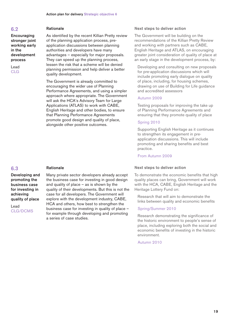**Encouraging stronger joint working early in the development process**

Lead CLG

#### **Rationale**

As identified by the recent Killian Pretty review of the planning application process, preapplication discussions between planning authorities and developers have many advantages – especially for major proposals. They can speed up the planning process, lessen the risk that a scheme will be denied planning permission and help deliver a better quality development.

The Government is already committed to encouraging the wider use of Planning Performance Agreements, and using a simpler approach where appropriate. The Government will ask the HCA's Advisory Team for Large Applications (ATLAS) to work with CABE, English Heritage and other bodies, to ensure that Planning Performance Agreements promote good design and quality of place, alongside other positive outcomes.

### **6.3**

**Developing and promoting the business case for investing in achieving quality of place**

Lead CLG/DCMS

#### **Rationale**

Many private sector developers already accept the business case for investing in good design and quality of place – as is shown by the quality of their developments. But this is not the case for all developers. The Government will explore with the development industry, CABE, HCA and others, how best to strengthen the business case for investing in quality of place – for example through developing and promoting a series of case studies.

#### **Next steps to deliver action**

The Government will be building on the recommendations of the Killian Pretty Review and working with partners such as CABE, English Heritage and ATLAS, on encouraging greater joint consideration of quality of place at an early stage in the development process, by:

Developing and consulting on new proposals for pre-application discussions which will include promoting early dialogue on quality of place, including, for housing schemes, drawing on use of Building for Life guidance and accredited assessors

#### Autumn 2009

Testing proposals for improving the take up of Planning Performance Agreements and ensuring that they promote quality of place

#### Spring 2010

Supporting English Heritage as it continues to strengthen its engagement in preapplication discussions. This will include promoting and sharing benefits and best practice.

#### From Autumn 2009

#### **Next steps to deliver action**

To demonstrate the economic benefits that high quality places can bring, Government will work with the HCA, CABE, English Heritage and the Heritage Lottery Fund on:

Research that will aim to demonstrate the links between quality and economic benefits

#### Spring/Summer 2010

Research demonstrating the significance of the historic environment to people's sense of place, including exploring both the social and economic benefits of investing in the historic environment.

Autumn 2010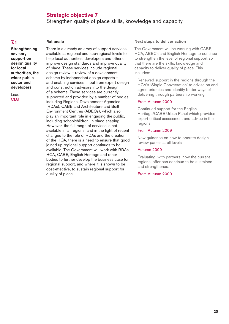## **Strategic objective 7**

Strengthen quality of place skills, knowledge and capacity

#### **7.1**

#### **Rationale**

**Strengthening advisory support on design quality for local authorities, the wider public sector and developers**

Lead CLG

There is a already an array of support services available at regional and sub-regional levels to help local authorities, developers and others improve design standards and improve quality of place. These services include regional design review – review of a development scheme by independent design experts – and enabling services: input from expert design and construction advisors into the design of a scheme. These services are currently supported and provided by a number of bodies including Regional Development Agencies (RDAs), CABE and Architecture and Built Environment Centres (ABECs), which also play an important role in engaging the public, including schoolchildren, in place-shaping. However, the full range of services is not available in all regions, and in the light of recent changes to the role of RDAs and the creation of the HCA, there is a need to ensure that good joined-up regional support continues to be available. The Government will work with RDAs, HCA, CABE, English Heritage and other bodies to further develop the business case for regional support, and where it is shown to be cost-effective, to sustain regional support for quality of place.

#### **Next steps to deliver action**

The Government will be working with CABE, HCA, ABECs and English Heritage to continue to strengthen the level of regional support so that there are the skills, knowledge and capacity to deliver quality of place. This includes:

Renewed support in the regions through the HCA's 'Single Conversation' to advise on and agree priorities and identify better ways of delivering through partnership working

#### From Autumn 2009

Continued support for the English Heritage/CABE Urban Panel which provides expert critical assessment and advice in the regions

#### From Autumn 2009

New guidance on how to operate design review panels at all levels

#### Autumn 2009

Evaluating, with partners, how the current regional offer can continue to be sustained and strengthened.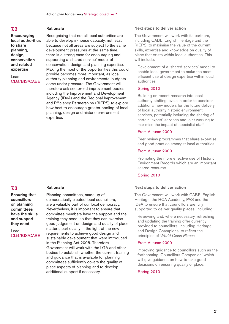**Encouraging local authorities to share planning, design, conservation and related expertise**

Lead CLG/BIS/CABE

#### **Rationale**

**Rationale**

Recognising that not all local authorities are able to develop in-house capacity, not least because not all areas are subject to the same development pressures at the same time, there is a strong case for encouraging and supporting a 'shared service' model of conservation, design and planning expertise. Making the most of the opportunities this could provide becomes more important, as local authority planning and environmental budgets come under pressure. The Government will therefore ask sector-led improvement bodies including the Improvement and Development Agency (IDeA) and the Regional Improvement and Efficiency Partnerships (RIEPS) to explore how best to encourage greater pooling of local planning, design and historic environment expertise.

## **7.3**

**Ensuring that councillors on planning committees have the skills and support they need**

Lead CLG/BIS/CABE Planning committees, made up of democratically elected local councillors, are a valuable part of our local democracy. Nevertheless, it is important to ensure that committee members have the support and the training they need, so that they can exercise good judgement on design and quality of place matters, particularly in the light of the new requirements to achieve good design and sustainable development that were introduced in the Planning Act 2008. Therefore Government will work with the LGA and other bodies to establish whether the current training and guidance that is available for planning committees sufficiently covers the quality of place aspects of planning and to develop additional support if necessary.

#### **Next steps to deliver action**

The Government will work with its partners, including CABE, English Heritage and the RIEPS, to maximise the value of the current skills, expertise and knowledge on quality of place that exists within local authorities. This will include:

Development of a 'shared services' model to enable local government to make the most efficient use of design expertise within local authorities

#### Spring 2010

Building on recent research into local authority staffing levels in order to consider additional new models for the future delivery of local authority historic environment services, potentially including the sharing of certain 'expert' services and joint working to maximise the impact of specialist staff

#### From Autumn 2009

Peer review programmes that share expertise and good practice amongst local authorities

#### From Autumn 2009

Promoting the more effective use of Historic Environment Records which are an important shared resource

#### Spring 2010

#### **Next steps to deliver action**

The Government will work with CABE, English Heritage, the HCA Academy, PAS and the IDeA to ensure that councillors are fully supported to deliver quality places, including:

Reviewing and, where necessary, refreshing and updating the training offer currently provided to councillors, including Heritage and Design Champions, to reflect the principles of *World Class Places*

#### From Autumn 2009

Improving guidance to councillors such as the forthcoming 'Councillors Companion' which will give guidance on how to take good decisions on ensuring quality of place.

#### Spring 2010